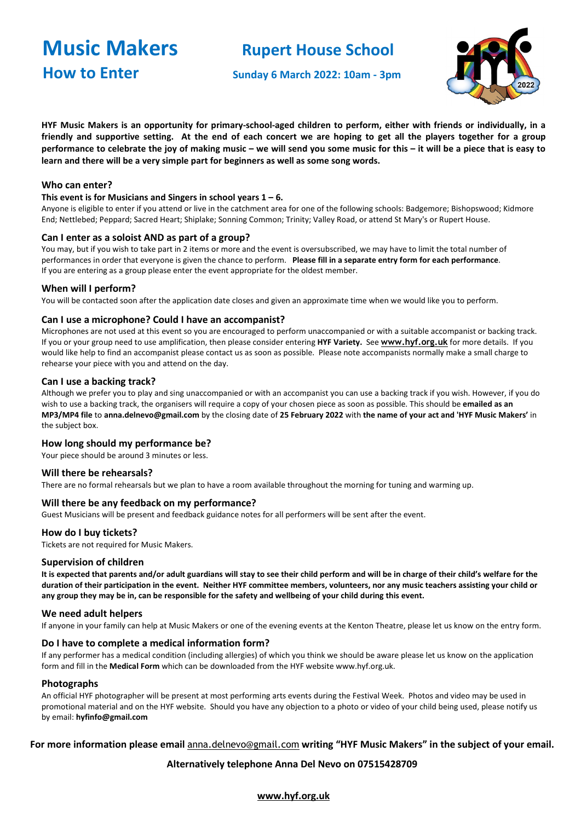**How to Enter** Sunday 6 March 2022: 10am - 3pm

# **Music Makers** Rupert House School



HYF Music Makers is an opportunity for primary-school-aged children to perform, either with friends or individually, in a friendly and supportive setting. At the end of each concert we are hoping to get all the players together for a group performance to celebrate the joy of making music - we will send you some music for this - it will be a piece that is easy to **learn and there will be a very simple part for beginners as well as some song words.**

### **Who can enter?**

#### **This event is for Musicians and Singers in school years 1 – 6.**

Anyone is eligible to enter if you attend or live in the catchment area for one of the following schools: Badgemore; Bishopswood; Kidmore End; Nettlebed; Peppard; Sacred Heart; Shiplake; Sonning Common; Trinity; Valley Road, or attend St Mary's or Rupert House.

#### **Can I enter as a soloist AND as part of a group?**

You may, but if you wish to take part in 2 items or more and the event is oversubscribed, we may have to limit the total number of performances in order that everyone is given the chance to perform. **Please fill in a separate entry form for each performance**. If you are entering as a group please enter the event appropriate for the oldest member.

#### **When will I perform?**

You will be contacted soon after the application date closes and given an approximate time when we would like you to perform.

#### **Can I use a microphone? Could I have an accompanist?**

Microphones are not used at this event so you are encouraged to perform unaccompanied or with a suitable accompanist or backing track. If you or your group need to use amplification, then please consider entering **HYF Variety.** See **[www.hyf.org.uk](http://www.hyf.org.uk/)** for more details. If you would like help to find an accompanist please contact us as soon as possible. Please note accompanists normally make a small charge to rehearse your piece with you and attend on the day.

#### **Can I use a backing track?**

Although we prefer you to play and sing unaccompanied or with an accompanist you can use a backing track if you wish. However, if you do wish to use a backing track, the organisers will require a copy of your chosen piece as soon as possible. This should be **emailed as an** MP3/MP4 file to anna.delnevo@gmail.com by the closing date of 25 February 2022 with the name of your act and 'HYF Music Makers' in the subject box.

#### **How long should my performance be?**

Your piece should be around 3 minutes or less.

#### **Will there be rehearsals?**

There are no formal rehearsals but we plan to have a room available throughout the morning for tuning and warming up.

#### **Will there be any feedback on my performance?**

Guest Musicians will be present and feedback guidance notes for all performers will be sent after the event.

#### **How do I buy tickets?**

Tickets are not required for Music Makers.

#### **Supervision of children**

It is expected that parents and/or adult guardians will stay to see their child perform and will be in charge of their child's welfare for the duration of their participation in the event. Neither HYF committee members, volunteers, nor any music teachers assisting your child or any group they may be in, can be responsible for the safety and wellbeing of your child during this event.

#### **We need adult helpers**

If anyone in your family can help at Music Makers or one of the evening events at the Kenton Theatre, please let us know on the entry [form.](http://www.hyf.org.uk/media/13759-hyf%2520entry%2520form%2520music%2520makers.pdf)

#### **Do I have to complete a medical information form?**

If any performer has a medical condition (including allergies) of which you think we should be aware please let us know on the application form and fill in the **Medical Form** which can be downloaded from the HYF website www.hyf.org.uk.

#### **Photographs**

An official HYF photographer will be present at most performing arts events during the Festival Week. Photos and video may be used in promotional material and on the HYF website. Should you have any objection to a photo or video of your child being used, please notify us by email: **hyfinfo@gmail.com**

### **For more information please email** [anna.delnevo@gmail.com](mailto:anna.delnevo@gmail.com) **writing "HYF Music Makers" in the subject of your email.**

#### **Alternatively telephone Anna Del Nevo on 07515428709**

**[www.hyf.org.uk](http://www.hyf.org.uk/)**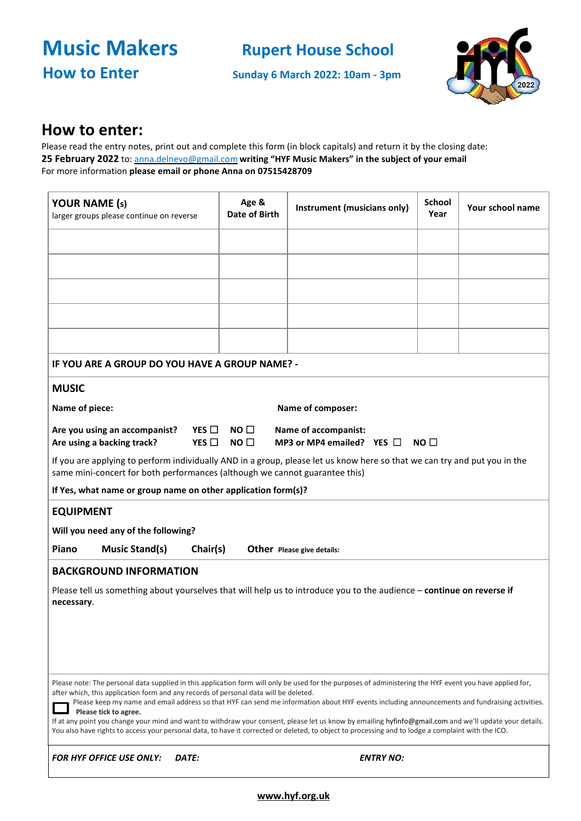**Music Makers** Rupert House School

**How to Enter** Sunday 6 March 2022: 10am - 3pm



## **How to enter:**

Please read the entry notes, print out and complete this form (in block capitals) and return it by the closing date: **25 February 2022** to: anna.delnevo@gmail.com **writing "HYF Music Makers" in the subject of your email**  For more information **please email or phone Anna on 07515428709**

| <b>YOUR NAME (s)</b><br>larger groups please continue on reverse                                                                                                                                                                                                                                                                                                                                                            | Age &<br>Date of Birth | Instrument (musicians only) | <b>School</b><br>Year | Your school name |  |  |  |  |
|-----------------------------------------------------------------------------------------------------------------------------------------------------------------------------------------------------------------------------------------------------------------------------------------------------------------------------------------------------------------------------------------------------------------------------|------------------------|-----------------------------|-----------------------|------------------|--|--|--|--|
|                                                                                                                                                                                                                                                                                                                                                                                                                             |                        |                             |                       |                  |  |  |  |  |
|                                                                                                                                                                                                                                                                                                                                                                                                                             |                        |                             |                       |                  |  |  |  |  |
|                                                                                                                                                                                                                                                                                                                                                                                                                             |                        |                             |                       |                  |  |  |  |  |
|                                                                                                                                                                                                                                                                                                                                                                                                                             |                        |                             |                       |                  |  |  |  |  |
|                                                                                                                                                                                                                                                                                                                                                                                                                             |                        |                             |                       |                  |  |  |  |  |
|                                                                                                                                                                                                                                                                                                                                                                                                                             |                        |                             |                       |                  |  |  |  |  |
| IF YOU ARE A GROUP DO YOU HAVE A GROUP NAME? -                                                                                                                                                                                                                                                                                                                                                                              |                        |                             |                       |                  |  |  |  |  |
| <b>MUSIC</b>                                                                                                                                                                                                                                                                                                                                                                                                                |                        |                             |                       |                  |  |  |  |  |
| Name of piece:                                                                                                                                                                                                                                                                                                                                                                                                              | Name of composer:      |                             |                       |                  |  |  |  |  |
| Are you using an accompanist?<br>$YES \Box NO \Box$<br>Name of accompanist:<br>YES $\square$<br>MP3 or MP4 emailed? YES $\Box$<br>Are using a backing track?<br>NO <sub>1</sub><br>NO $\sqcap$                                                                                                                                                                                                                              |                        |                             |                       |                  |  |  |  |  |
| If you are applying to perform individually AND in a group, please let us know here so that we can try and put you in the<br>same mini-concert for both performances (although we cannot guarantee this)                                                                                                                                                                                                                    |                        |                             |                       |                  |  |  |  |  |
| If Yes, what name or group name on other application form(s)?                                                                                                                                                                                                                                                                                                                                                               |                        |                             |                       |                  |  |  |  |  |
| <b>EQUIPMENT</b>                                                                                                                                                                                                                                                                                                                                                                                                            |                        |                             |                       |                  |  |  |  |  |
| Will you need any of the following?                                                                                                                                                                                                                                                                                                                                                                                         |                        |                             |                       |                  |  |  |  |  |
| <b>Music Stand(s)</b><br>Chair(s)<br>Piano                                                                                                                                                                                                                                                                                                                                                                                  |                        | Other Please give details:  |                       |                  |  |  |  |  |
| <b>BACKGROUND INFORMATION</b>                                                                                                                                                                                                                                                                                                                                                                                               |                        |                             |                       |                  |  |  |  |  |
| Please tell us something about yourselves that will help us to introduce you to the audience - continue on reverse if<br>necessary.                                                                                                                                                                                                                                                                                         |                        |                             |                       |                  |  |  |  |  |
|                                                                                                                                                                                                                                                                                                                                                                                                                             |                        |                             |                       |                  |  |  |  |  |
|                                                                                                                                                                                                                                                                                                                                                                                                                             |                        |                             |                       |                  |  |  |  |  |
| Please note: The personal data supplied in this application form will only be used for the purposes of administering the HYF event you have applied for,<br>after which, this application form and any records of personal data will be deleted.<br>Please keep my name and email address so that HYF can send me information about HYF events including announcements and fundraising activities.<br>Please tick to agree. |                        |                             |                       |                  |  |  |  |  |
| If at any point you change your mind and want to withdraw your consent, please let us know by emailing hyfinfo@gmail.com and we'll update your details.<br>You also have rights to access your personal data, to have it corrected or deleted, to object to processing and to lodge a complaint with the ICO.                                                                                                               |                        |                             |                       |                  |  |  |  |  |

*FOR HYF OFFICE USE ONLY: DATE: ENTRY NO:*

## **[www.hyf.org.uk](http://www.hyf.org.uk/)**